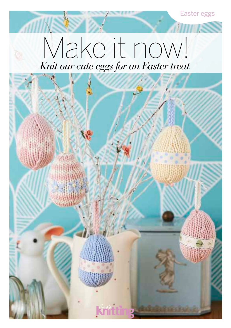

# *Knit our cute eggs for an Easter treat* Make it now!

**ATTIN**